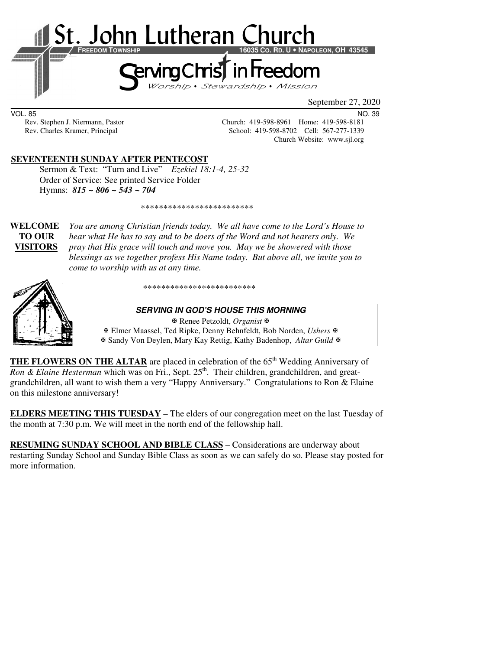

September 27, 2020

VOL. 85 NO. 39

Rev. Stephen J. Niermann, Pastor Church: 419-598-8961 Home: 419-598-8181<br>Rev. Charles Kramer, Principal School: 419-598-8702 Cell: 567-277-1339 School: 419-598-8702 Cell: 567-277-1339 Church Website: www.sjl.org

#### **SEVENTEENTH SUNDAY AFTER PENTECOST**

 Sermon & Text: "Turn and Live" *Ezekiel 18:1-4, 25-32* Order of Service: See printed Service Folder Hymns: *815 ~ 806 ~ 543 ~ 704*

\*\*\*\*\*\*\*\*\*\*\*\*\*\*\*\*\*\*\*\*\*\*\*\*\*

**WELCOME** *You are among Christian friends today. We all have come to the Lord's House to* **TO OUR** *hear what He has to say and to be doers of the Word and not hearers only. We* **VISITORS** *pray that His grace will touch and move you. May we be showered with those blessings as we together profess His Name today. But above all, we invite you to come to worship with us at any time.* 



\*\*\*\*\*\*\*\*\*\*\*\*\*\*\*\*\*\*\*\*\*\*\*\*\*

#### **SERVING IN GOD'S HOUSE THIS MORNING**

 Renee Petzoldt, *Organist* Elmer Maassel, Ted Ripke, Denny Behnfeldt, Bob Norden, *Ushers* Sandy Von Deylen, Mary Kay Rettig, Kathy Badenhop, *Altar Guild*

**THE FLOWERS ON THE ALTAR** are placed in celebration of the 65<sup>th</sup> Wedding Anniversary of *Ron & Elaine Hesterman* which was on Fri., Sept.  $25<sup>th</sup>$ . Their children, grandchildren, and greatgrandchildren, all want to wish them a very "Happy Anniversary." Congratulations to Ron & Elaine on this milestone anniversary!

**ELDERS MEETING THIS TUESDAY** – The elders of our congregation meet on the last Tuesday of the month at 7:30 p.m. We will meet in the north end of the fellowship hall.

**RESUMING SUNDAY SCHOOL AND BIBLE CLASS** *–* Considerations are underway about restarting Sunday School and Sunday Bible Class as soon as we can safely do so. Please stay posted for more information.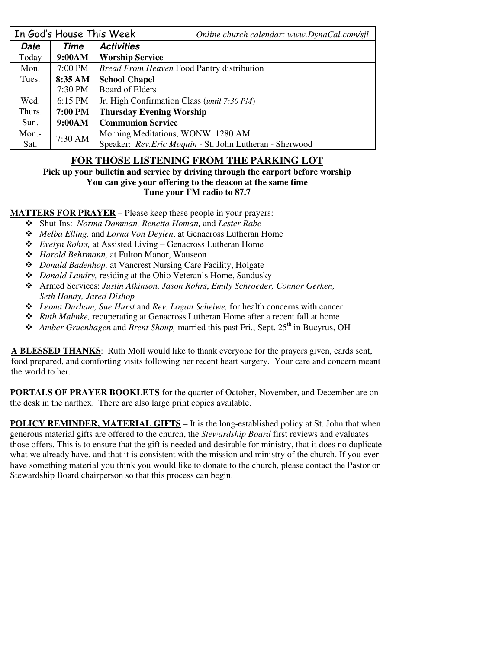| In God's House This Week |         | Online church calendar: www.DynaCal.com/sjl              |  |  |
|--------------------------|---------|----------------------------------------------------------|--|--|
| <b>Date</b>              | Time    | <b>Activities</b>                                        |  |  |
| Today                    | 9:00AM  | <b>Worship Service</b>                                   |  |  |
| Mon.                     | 7:00 PM | Bread From Heaven Food Pantry distribution               |  |  |
| Tues.                    | 8:35 AM | <b>School Chapel</b>                                     |  |  |
|                          | 7:30 PM | <b>Board of Elders</b>                                   |  |  |
| Wed.                     | 6:15 PM | Jr. High Confirmation Class ( <i>until 7:30 PM</i> )     |  |  |
| Thurs.                   | 7:00 PM | <b>Thursday Evening Worship</b>                          |  |  |
| Sun.                     | 9:00AM  | <b>Communion Service</b>                                 |  |  |
| Mon.-                    | 7:30 AM | Morning Meditations, WONW 1280 AM                        |  |  |
| Sat.                     |         | Speaker: Rev. Eric Moquin - St. John Lutheran - Sherwood |  |  |

## **FOR THOSE LISTENING FROM THE PARKING LOT**

**Pick up your bulletin and service by driving through the carport before worship You can give your offering to the deacon at the same time Tune your FM radio to 87.7** 

**MATTERS FOR PRAYER** – Please keep these people in your prayers:

- Shut-Ins: *Norma Damman, Renetta Homan,* and *Lester Rabe*
- *Melba Elling,* and *Lorna Von Deylen*, at Genacross Lutheran Home
- *Evelyn Rohrs,* at Assisted Living Genacross Lutheran Home
- *Harold Behrmann,* at Fulton Manor, Wauseon
- *Donald Badenhop,* at Vancrest Nursing Care Facility, Holgate
- *Donald Landry,* residing at the Ohio Veteran's Home, Sandusky
- Armed Services: *Justin Atkinson, Jason Rohrs*, *Emily Schroeder, Connor Gerken, Seth Handy, Jared Dishop*
- *Leona Durham, Sue Hurst* and *Rev. Logan Scheiwe,* for health concerns with cancer
- *Ruth Mahnke,* recuperating at Genacross Lutheran Home after a recent fall at home
- **❖** *Amber Gruenhagen* and *Brent Shoup*, married this past Fri., Sept. 25<sup>th</sup> in Bucyrus, OH

**A BLESSED THANKS**: Ruth Moll would like to thank everyone for the prayers given, cards sent, food prepared, and comforting visits following her recent heart surgery. Your care and concern meant the world to her.

**PORTALS OF PRAYER BOOKLETS** for the quarter of October, November, and December are on the desk in the narthex. There are also large print copies available.

**POLICY REMINDER, MATERIAL GIFTS** – It is the long-established policy at St. John that when generous material gifts are offered to the church, the *Stewardship Board* first reviews and evaluates those offers. This is to ensure that the gift is needed and desirable for ministry, that it does no duplicate what we already have, and that it is consistent with the mission and ministry of the church. If you ever have something material you think you would like to donate to the church, please contact the Pastor or Stewardship Board chairperson so that this process can begin.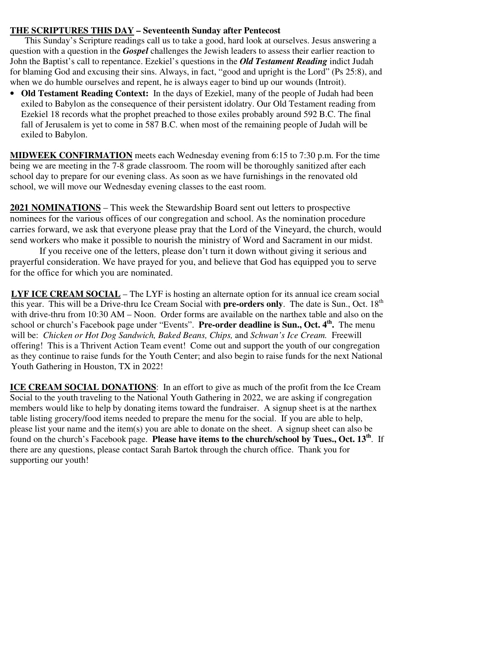#### **THE SCRIPTURES THIS DAY – Seventeenth Sunday after Pentecost**

This Sunday's Scripture readings call us to take a good, hard look at ourselves. Jesus answering a question with a question in the *Gospel* challenges the Jewish leaders to assess their earlier reaction to John the Baptist's call to repentance. Ezekiel's questions in the *Old Testament Reading* indict Judah for blaming God and excusing their sins. Always, in fact, "good and upright is the Lord" (Ps 25:8), and when we do humble ourselves and repent, he is always eager to bind up our wounds (Introit).

• **Old Testament Reading Context:** In the days of Ezekiel, many of the people of Judah had been exiled to Babylon as the consequence of their persistent idolatry. Our Old Testament reading from Ezekiel 18 records what the prophet preached to those exiles probably around 592 B.C. The final fall of Jerusalem is yet to come in 587 B.C. when most of the remaining people of Judah will be exiled to Babylon.

**MIDWEEK CONFIRMATION** meets each Wednesday evening from 6:15 to 7:30 p.m. For the time being we are meeting in the 7-8 grade classroom. The room will be thoroughly sanitized after each school day to prepare for our evening class. As soon as we have furnishings in the renovated old school, we will move our Wednesday evening classes to the east room.

**2021 NOMINATIONS** – This week the Stewardship Board sent out letters to prospective nominees for the various offices of our congregation and school. As the nomination procedure carries forward, we ask that everyone please pray that the Lord of the Vineyard, the church, would send workers who make it possible to nourish the ministry of Word and Sacrament in our midst.

If you receive one of the letters, please don't turn it down without giving it serious and prayerful consideration. We have prayed for you, and believe that God has equipped you to serve for the office for which you are nominated.

**LYF ICE CREAM SOCIAL** – The LYF is hosting an alternate option for its annual ice cream social this year. This will be a Drive-thru Ice Cream Social with **pre-orders only**. The date is Sun., Oct. 18th with drive-thru from 10:30 AM – Noon. Order forms are available on the narthex table and also on the school or church's Facebook page under "Events". **Pre-order deadline is Sun., Oct. 4th .** The menu will be: *Chicken or Hot Dog Sandwich, Baked Beans, Chips,* and *Schwan's Ice Cream.* Freewill offering! This is a Thrivent Action Team event! Come out and support the youth of our congregation as they continue to raise funds for the Youth Center; and also begin to raise funds for the next National Youth Gathering in Houston, TX in 2022!

**ICE CREAM SOCIAL DONATIONS**: In an effort to give as much of the profit from the Ice Cream Social to the youth traveling to the National Youth Gathering in 2022, we are asking if congregation members would like to help by donating items toward the fundraiser. A signup sheet is at the narthex table listing grocery/food items needed to prepare the menu for the social. If you are able to help, please list your name and the item(s) you are able to donate on the sheet. A signup sheet can also be found on the church's Facebook page. **Please have items to the church/school by Tues., Oct. 13th**. If there are any questions, please contact Sarah Bartok through the church office. Thank you for supporting our youth!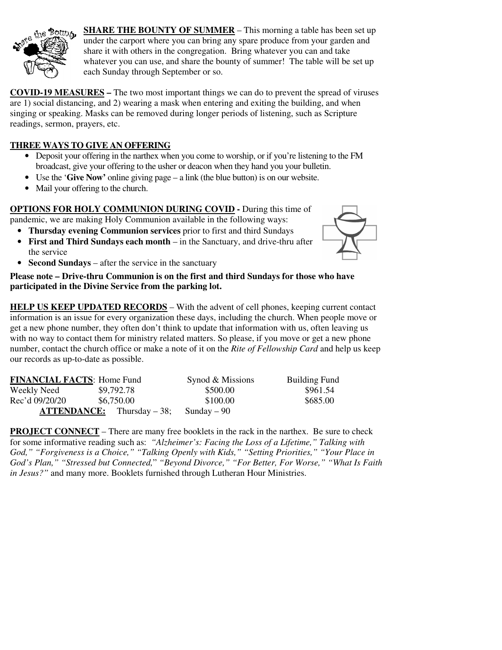

**SHARE THE BOUNTY OF SUMMER** – This morning a table has been set up under the carport where you can bring any spare produce from your garden and share it with others in the congregation. Bring whatever you can and take whatever you can use, and share the bounty of summer! The table will be set up each Sunday through September or so.

**COVID-19 MEASURES –** The two most important things we can do to prevent the spread of viruses are 1) social distancing, and 2) wearing a mask when entering and exiting the building, and when singing or speaking. Masks can be removed during longer periods of listening, such as Scripture readings, sermon, prayers, etc.

### **THREE WAYS TO GIVE AN OFFERING**

- Deposit your offering in the narthex when you come to worship, or if you're listening to the FM broadcast, give your offering to the usher or deacon when they hand you your bulletin.
- Use the '**Give Now'** online giving page a link (the blue button) is on our website.
- Mail your offering to the church.

**OPTIONS FOR HOLY COMMUNION DURING COVID -** During this time of pandemic, we are making Holy Communion available in the following ways:

- 
- **Thursday evening Communion services** prior to first and third Sundays
- **First and Third Sundays each month** in the Sanctuary, and drive-thru after the service
- **Second Sundays** after the service in the sanctuary



**Please note – Drive-thru Communion is on the first and third Sundays for those who have participated in the Divine Service from the parking lot.** 

**HELP US KEEP UPDATED RECORDS** – With the advent of cell phones, keeping current contact information is an issue for every organization these days, including the church. When people move or get a new phone number, they often don't think to update that information with us, often leaving us with no way to contact them for ministry related matters. So please, if you move or get a new phone number, contact the church office or make a note of it on the *Rite of Fellowship Card* and help us keep our records as up-to-date as possible.

| <b>FINANCIAL FACTS: Home Fund</b> |                                       | Synod & Missions | <b>Building Fund</b> |
|-----------------------------------|---------------------------------------|------------------|----------------------|
| Weekly Need                       | \$9,792.78                            | \$500.00         | \$961.54             |
| Rec'd 09/20/20                    | \$6,750.00                            | \$100.00         | \$685.00             |
|                                   | $\textbf{ATTENDANCE:}$ Thursday – 38; | Sunday $-90$     |                      |

**PROJECT CONNECT** – There are many free booklets in the rack in the narthex. Be sure to check for some informative reading such as: *"Alzheimer's: Facing the Loss of a Lifetime," Talking with God," "Forgiveness is a Choice," "Talking Openly with Kids," "Setting Priorities," "Your Place in God's Plan," "Stressed but Connected,*" *"Beyond Divorce," "For Better, For Worse," "What Is Faith in Jesus?"* and many more. Booklets furnished through Lutheran Hour Ministries.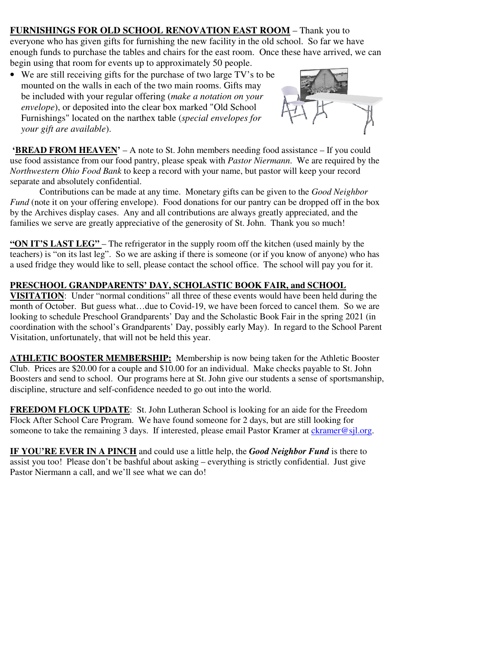# **FURNISHINGS FOR OLD SCHOOL RENOVATION EAST ROOM** – Thank you to

everyone who has given gifts for furnishing the new facility in the old school. So far we have enough funds to purchase the tables and chairs for the east room. Once these have arrived, we can begin using that room for events up to approximately 50 people.

• We are still receiving gifts for the purchase of two large TV's to be mounted on the walls in each of the two main rooms. Gifts may be included with your regular offering (*make a notation on your envelope*), or deposited into the clear box marked "Old School Furnishings" located on the narthex table (*special envelopes for your gift are available*).



**'BREAD FROM HEAVEN'** – A note to St. John members needing food assistance – If you could use food assistance from our food pantry, please speak with *Pastor Niermann*. We are required by the *Northwestern Ohio Food Bank* to keep a record with your name, but pastor will keep your record separate and absolutely confidential.

Contributions can be made at any time. Monetary gifts can be given to the *Good Neighbor Fund* (note it on your offering envelope). Food donations for our pantry can be dropped off in the box by the Archives display cases. Any and all contributions are always greatly appreciated, and the families we serve are greatly appreciative of the generosity of St. John. Thank you so much!

**"ON IT'S LAST LEG"** – The refrigerator in the supply room off the kitchen (used mainly by the teachers) is "on its last leg". So we are asking if there is someone (or if you know of anyone) who has a used fridge they would like to sell, please contact the school office. The school will pay you for it.

### **PRESCHOOL GRANDPARENTS' DAY, SCHOLASTIC BOOK FAIR, and SCHOOL**

**VISITATION**: Under "normal conditions" all three of these events would have been held during the month of October. But guess what…due to Covid-19, we have been forced to cancel them. So we are looking to schedule Preschool Grandparents' Day and the Scholastic Book Fair in the spring 2021 (in coordination with the school's Grandparents' Day, possibly early May). In regard to the School Parent Visitation, unfortunately, that will not be held this year.

**ATHLETIC BOOSTER MEMBERSHIP:** Membership is now being taken for the Athletic Booster Club. Prices are \$20.00 for a couple and \$10.00 for an individual. Make checks payable to St. John Boosters and send to school. Our programs here at St. John give our students a sense of sportsmanship, discipline, structure and self-confidence needed to go out into the world.

**FREEDOM FLOCK UPDATE:** St. John Lutheran School is looking for an aide for the Freedom Flock After School Care Program. We have found someone for 2 days, but are still looking for someone to take the remaining 3 days. If interested, please email Pastor Kramer at ckramer@sjl.org.

**IF YOU'RE EVER IN A PINCH** and could use a little help, the *Good Neighbor Fund* is there to assist you too! Please don't be bashful about asking – everything is strictly confidential. Just give Pastor Niermann a call, and we'll see what we can do!